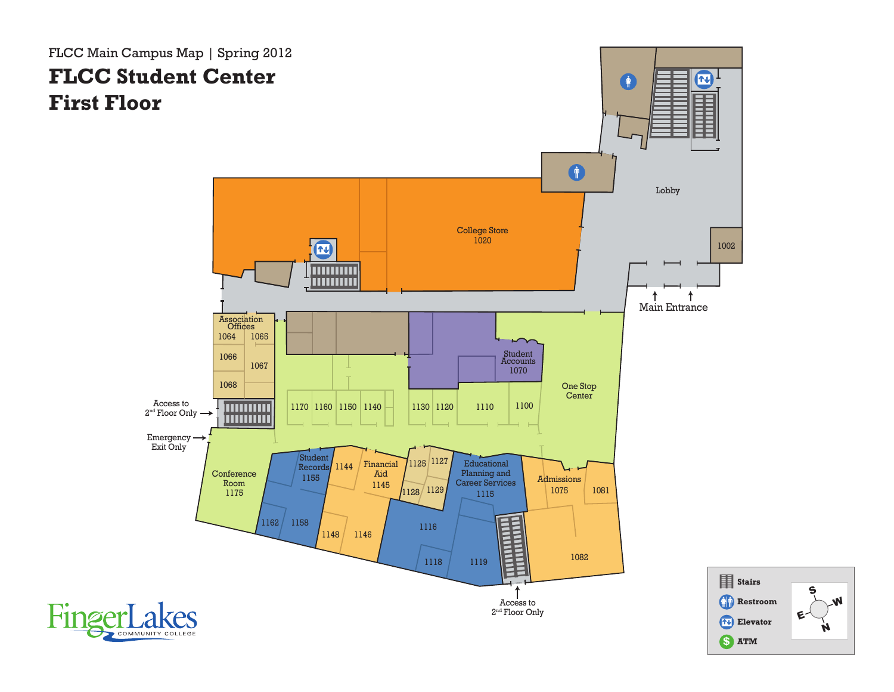FLCC Main Campus Map | Spring 2012 **FLCC Student Center First Floor**